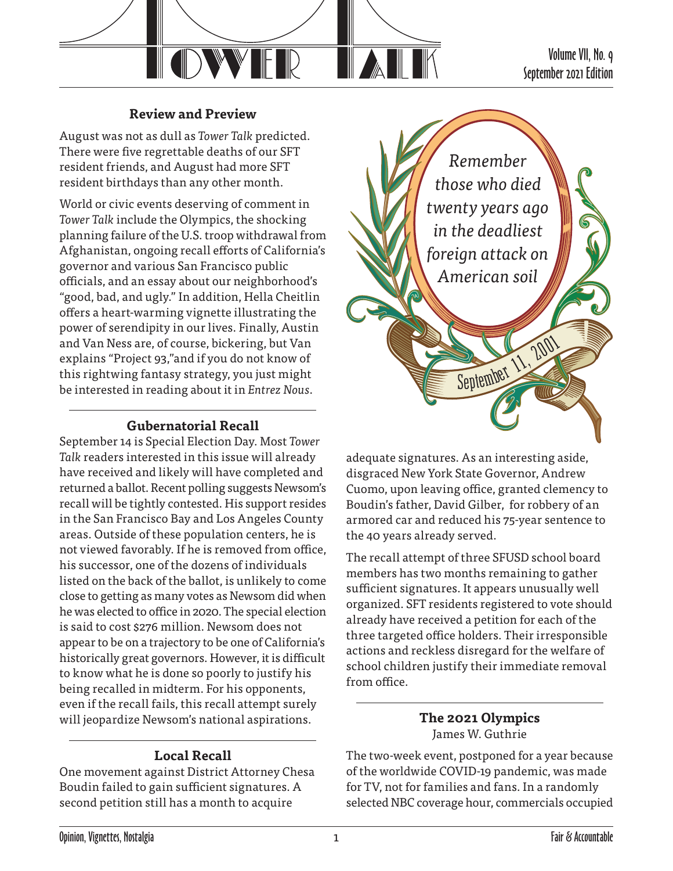

Volume VII, No. 9 September 2021 Edition

## **Review and Preview**

August was not as dull as *Tower Talk* predicted. There were five regrettable deaths of our SFT resident friends, and August had more SFT resident birthdays than any other month.

World or civic events deserving of comment in *Tower Talk* include the Olympics, the shocking planning failure of the U.S. troop withdrawal from Afghanistan, ongoing recall efforts of California's governor and various San Francisco public officials, and an essay about our neighborhood's "good, bad, and ugly." In addition, Hella Cheitlin offers a heart-warming vignette illustrating the power of serendipity in our lives. Finally, Austin and Van Ness are, of course, bickering, but Van explains "Project 93,"and if you do not know of this rightwing fantasy strategy, you just might be interested in reading about it in *Entrez Nous*.

## **Gubernatorial Recall**

September 14 is Special Election Day. Most *Tower Talk* readers interested in this issue will already have received and likely will have completed and returned a ballot. Recent polling suggests Newsom's recall will be tightly contested. His support resides in the San Francisco Bay and Los Angeles County areas. Outside of these population centers, he is not viewed favorably. If he is removed from office, his successor, one of the dozens of individuals listed on the back of the ballot, is unlikely to come close to getting as many votes as Newsom did when he was elected to office in 2020. The special election is said to cost \$276 million. Newsom does not appear to be on a trajectory to be one of California's historically great governors. However, it is difficult to know what he is done so poorly to justify his being recalled in midterm. For his opponents, even if the recall fails, this recall attempt surely will jeopardize Newsom's national aspirations.

# **Local Recall**

One movement against District Attorney Chesa Boudin failed to gain sufficient signatures. A second petition still has a month to acquire



adequate signatures. As an interesting aside, disgraced New York State Governor, Andrew Cuomo, upon leaving office, granted clemency to Boudin's father, David Gilber, for robbery of an armored car and reduced his 75-year sentence to the 40 years already served.

The recall attempt of three SFUSD school board members has two months remaining to gather sufficient signatures. It appears unusually well organized. SFT residents registered to vote should already have received a petition for each of the three targeted office holders. Their irresponsible actions and reckless disregard for the welfare of school children justify their immediate removal from office.

### **The 2021 Olympics** James W. Guthrie

The two-week event, postponed for a year because of the worldwide COVID-19 pandemic, was made for TV, not for families and fans. In a randomly selected NBC coverage hour, commercials occupied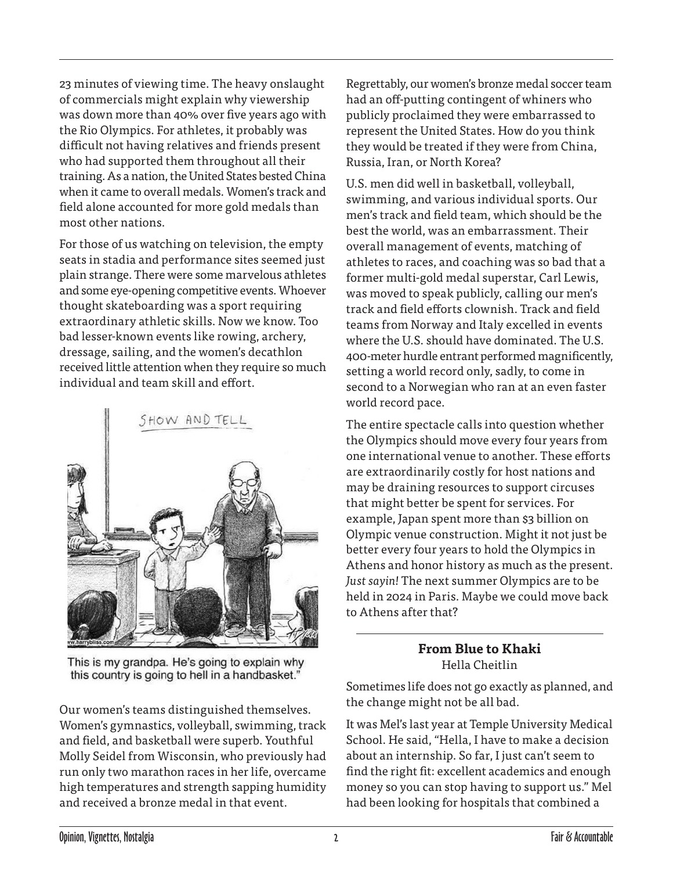23 minutes of viewing time. The heavy onslaught of commercials might explain why viewership was down more than 40% over five years ago with the Rio Olympics. For athletes, it probably was difficult not having relatives and friends present who had supported them throughout all their training. As a nation, the United States bested China when it came to overall medals. Women's track and field alone accounted for more gold medals than most other nations.

For those of us watching on television, the empty seats in stadia and performance sites seemed just plain strange. There were some marvelous athletes and some eye-opening competitive events. Whoever thought skateboarding was a sport requiring extraordinary athletic skills. Now we know. Too bad lesser-known events like rowing, archery, dressage, sailing, and the women's decathlon received little attention when they require so much individual and team skill and effort.



This is my grandpa. He's going to explain why this country is going to hell in a handbasket."

Our women's teams distinguished themselves. Women's gymnastics, volleyball, swimming, track and field, and basketball were superb. Youthful Molly Seidel from Wisconsin, who previously had run only two marathon races in her life, overcame high temperatures and strength sapping humidity and received a bronze medal in that event.

Regrettably, our women's bronze medal soccer team had an off-putting contingent of whiners who publicly proclaimed they were embarrassed to represent the United States. How do you think they would be treated if they were from China, Russia, Iran, or North Korea?

U.S. men did well in basketball, volleyball, swimming, and various individual sports. Our men's track and field team, which should be the best the world, was an embarrassment. Their overall management of events, matching of athletes to races, and coaching was so bad that a former multi-gold medal superstar, Carl Lewis, was moved to speak publicly, calling our men's track and field efforts clownish. Track and field teams from Norway and Italy excelled in events where the U.S. should have dominated. The U.S. 400-meter hurdle entrant performed magnificently, setting a world record only, sadly, to come in second to a Norwegian who ran at an even faster world record pace.

The entire spectacle calls into question whether the Olympics should move every four years from one international venue to another. These efforts are extraordinarily costly for host nations and may be draining resources to support circuses that might better be spent for services. For example, Japan spent more than \$3 billion on Olympic venue construction. Might it not just be better every four years to hold the Olympics in Athens and honor history as much as the present. *Just sayin!* The next summer Olympics are to be held in 2024 in Paris. Maybe we could move back to Athens after that?

#### **From Blue to Khaki** Hella Cheitlin

Sometimes life does not go exactly as planned, and the change might not be all bad.

It was Mel's last year at Temple University Medical School. He said, "Hella, I have to make a decision about an internship. So far, I just can't seem to find the right fit: excellent academics and enough money so you can stop having to support us." Mel had been looking for hospitals that combined a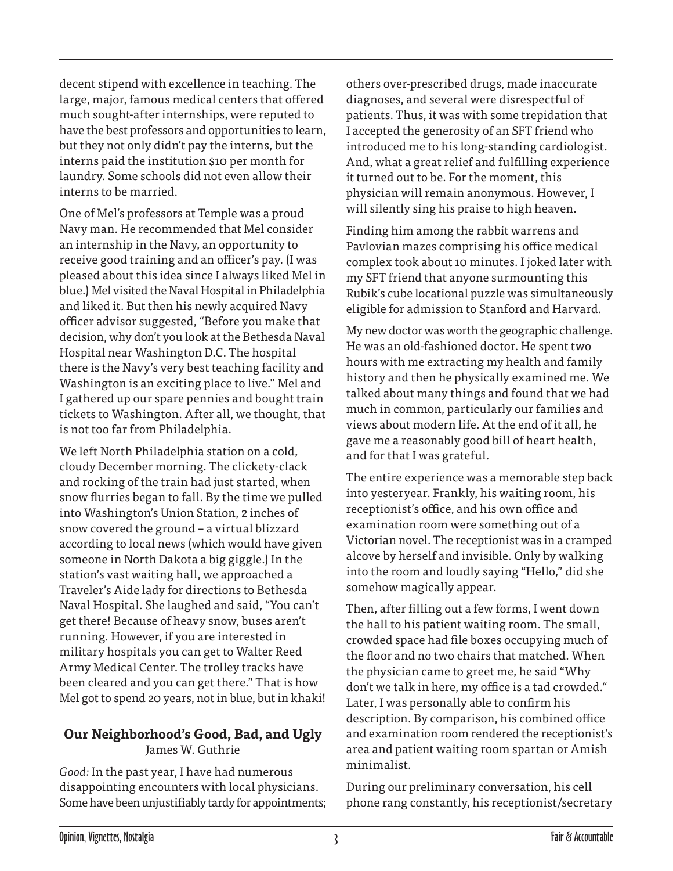decent stipend with excellence in teaching. The large, major, famous medical centers that offered much sought-after internships, were reputed to have the best professors and opportunities to learn, but they not only didn't pay the interns, but the interns paid the institution \$10 per month for laundry. Some schools did not even allow their interns to be married.

One of Mel's professors at Temple was a proud Navy man. He recommended that Mel consider an internship in the Navy, an opportunity to receive good training and an officer's pay. (I was pleased about this idea since I always liked Mel in blue.) Mel visited the Naval Hospital in Philadelphia and liked it. But then his newly acquired Navy officer advisor suggested, "Before you make that decision, why don't you look at the Bethesda Naval Hospital near Washington D.C. The hospital there is the Navy's very best teaching facility and Washington is an exciting place to live." Mel and I gathered up our spare pennies and bought train tickets to Washington. After all, we thought, that is not too far from Philadelphia.

We left North Philadelphia station on a cold, cloudy December morning. The clickety-clack and rocking of the train had just started, when snow flurries began to fall. By the time we pulled into Washington's Union Station, 2 inches of snow covered the ground – a virtual blizzard according to local news (which would have given someone in North Dakota a big giggle.) In the station's vast waiting hall, we approached a Traveler's Aide lady for directions to Bethesda Naval Hospital. She laughed and said, "You can't get there! Because of heavy snow, buses aren't running. However, if you are interested in military hospitals you can get to Walter Reed Army Medical Center. The trolley tracks have been cleared and you can get there." That is how Mel got to spend 20 years, not in blue, but in khaki!

#### **Our Neighborhood's Good, Bad, and Ugly** James W. Guthrie

*Good:* In the past year, I have had numerous disappointing encounters with local physicians. Some have been unjustifiably tardy for appointments;

others over-prescribed drugs, made inaccurate diagnoses, and several were disrespectful of patients. Thus, it was with some trepidation that I accepted the generosity of an SFT friend who introduced me to his long-standing cardiologist. And, what a great relief and fulfilling experience it turned out to be. For the moment, this physician will remain anonymous. However, I will silently sing his praise to high heaven.

Finding him among the rabbit warrens and Pavlovian mazes comprising his office medical complex took about 10 minutes. I joked later with my SFT friend that anyone surmounting this Rubik's cube locational puzzle was simultaneously eligible for admission to Stanford and Harvard.

My new doctor was worth the geographic challenge. He was an old-fashioned doctor. He spent two hours with me extracting my health and family history and then he physically examined me. We talked about many things and found that we had much in common, particularly our families and views about modern life. At the end of it all, he gave me a reasonably good bill of heart health, and for that I was grateful.

The entire experience was a memorable step back into yesteryear. Frankly, his waiting room, his receptionist's office, and his own office and examination room were something out of a Victorian novel. The receptionist was in a cramped alcove by herself and invisible. Only by walking into the room and loudly saying "Hello," did she somehow magically appear.

Then, after filling out a few forms, I went down the hall to his patient waiting room. The small, crowded space had file boxes occupying much of the floor and no two chairs that matched. When the physician came to greet me, he said "Why don't we talk in here, my office is a tad crowded." Later, I was personally able to confirm his description. By comparison, his combined office and examination room rendered the receptionist's area and patient waiting room spartan or Amish minimalist.

During our preliminary conversation, his cell phone rang constantly, his receptionist/secretary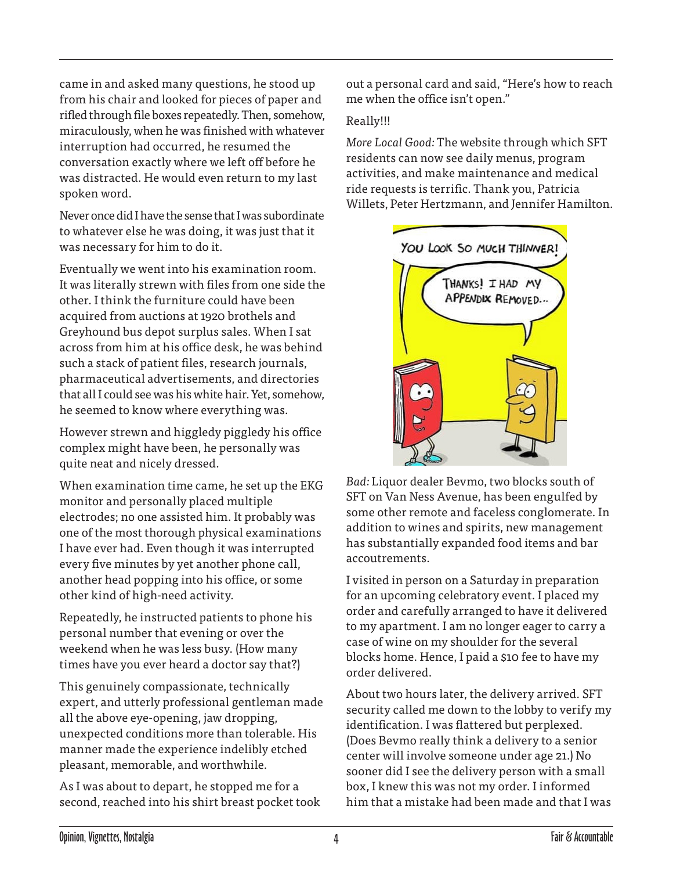came in and asked many questions, he stood up from his chair and looked for pieces of paper and rifled through file boxes repeatedly. Then, somehow, miraculously, when he was finished with whatever interruption had occurred, he resumed the conversation exactly where we left off before he was distracted. He would even return to my last spoken word.

Never once did I have the sense that I was subordinate to whatever else he was doing, it was just that it was necessary for him to do it.

Eventually we went into his examination room. It was literally strewn with files from one side the other. I think the furniture could have been acquired from auctions at 1920 brothels and Greyhound bus depot surplus sales. When I sat across from him at his office desk, he was behind such a stack of patient files, research journals, pharmaceutical advertisements, and directories that all I could see was his white hair. Yet, somehow, he seemed to know where everything was.

However strewn and higgledy piggledy his office complex might have been, he personally was quite neat and nicely dressed.

When examination time came, he set up the EKG monitor and personally placed multiple electrodes; no one assisted him. It probably was one of the most thorough physical examinations I have ever had. Even though it was interrupted every five minutes by yet another phone call, another head popping into his office, or some other kind of high-need activity.

Repeatedly, he instructed patients to phone his personal number that evening or over the weekend when he was less busy. (How many times have you ever heard a doctor say that?)

This genuinely compassionate, technically expert, and utterly professional gentleman made all the above eye-opening, jaw dropping, unexpected conditions more than tolerable. His manner made the experience indelibly etched pleasant, memorable, and worthwhile.

As I was about to depart, he stopped me for a second, reached into his shirt breast pocket took out a personal card and said, "Here's how to reach me when the office isn't open."

#### Really!!!

*More Local Good:* The website through which SFT residents can now see daily menus, program activities, and make maintenance and medical ride requests is terrific. Thank you, Patricia Willets, Peter Hertzmann, and Jennifer Hamilton.



*Bad:* Liquor dealer Bevmo, two blocks south of SFT on Van Ness Avenue, has been engulfed by some other remote and faceless conglomerate. In addition to wines and spirits, new management has substantially expanded food items and bar accoutrements.

I visited in person on a Saturday in preparation for an upcoming celebratory event. I placed my order and carefully arranged to have it delivered to my apartment. I am no longer eager to carry a case of wine on my shoulder for the several blocks home. Hence, I paid a \$10 fee to have my order delivered.

About two hours later, the delivery arrived. SFT security called me down to the lobby to verify my identification. I was flattered but perplexed. (Does Bevmo really think a delivery to a senior center will involve someone under age 21.) No sooner did I see the delivery person with a small box, I knew this was not my order. I informed him that a mistake had been made and that I was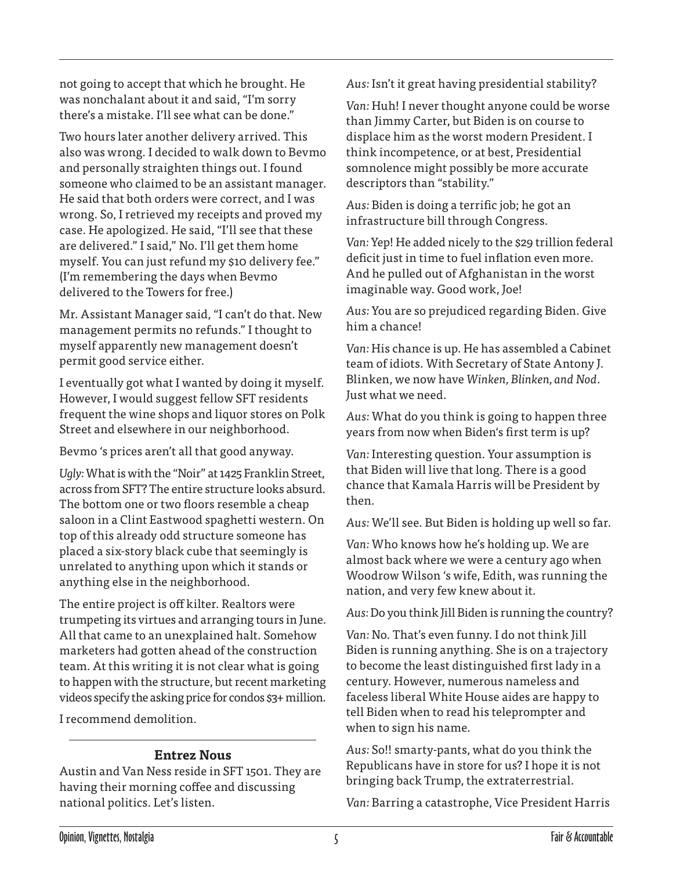not going to accept that which he brought. He was nonchalant about it and said, "I'm sorry there's a mistake. I'll see what can be done."

Two hours later another delivery arrived. This also was wrong. I decided to walk down to Bevmo and personally straighten things out. I found someone who claimed to be an assistant manager. He said that both orders were correct, and I was wrong. So, I retrieved my receipts and proved my case. He apologized. He said, "I'll see that these are delivered." I said," No. I'll get them home myself. You can just refund my \$10 delivery fee." (I'm remembering the days when Bevmo delivered to the Towers for free.)

Mr. Assistant Manager said, "I can't do that. New management permits no refunds." I thought to myself apparently new management doesn't permit good service either.

I eventually got what I wanted by doing it myself. However, I would suggest fellow SFT residents frequent the wine shops and liquor stores on Polk Street and elsewhere in our neighborhood.

Bevmo 's prices aren't all that good anyway.

*Ugly:* What is with the "Noir" at 1425 Franklin Street, across from SFT? The entire structure looks absurd. The bottom one or two floors resemble a cheap saloon in a Clint Eastwood spaghetti western. On top of this already odd structure someone has placed a six-story black cube that seemingly is unrelated to anything upon which it stands or anything else in the neighborhood.

The entire project is off kilter. Realtors were trumpeting its virtues and arranging tours in June. All that came to an unexplained halt. Somehow marketers had gotten ahead of the construction team. At this writing it is not clear what is going to happen with the structure, but recent marketing videos specify the asking price for condos \$3+ million.

I recommend demolition.

# **Entrez Nous**

Austin and Van Ness reside in SFT 1501. They are having their morning coffee and discussing national politics. Let's listen.

*Aus:* Isn't it great having presidential stability?

*Van:* Huh! I never thought anyone could be worse than Jimmy Carter, but Biden is on course to displace him as the worst modern President. I think incompetence, or at best, Presidential somnolence might possibly be more accurate descriptors than "stability."

*Aus:* Biden is doing a terrific job; he got an infrastructure bill through Congress.

*Van:* Yep! He added nicely to the \$29 trillion federal deficit just in time to fuel inflation even more. And he pulled out of Afghanistan in the worst imaginable way. Good work, Joe!

*Aus:* You are so prejudiced regarding Biden. Give him a chance!

*Van:* His chance is up. He has assembled a Cabinet team of idiots. With Secretary of State Antony J. Blinken, we now have *Winken, Blinken, and Nod*. Just what we need.

*Aus:* What do you think is going to happen three years from now when Biden's first term is up?

*Van:* Interesting question. Your assumption is that Biden will live that long. There is a good chance that Kamala Harris will be President by then.

*Aus:* We'll see. But Biden is holding up well so far.

*Van:* Who knows how he's holding up. We are almost back where we were a century ago when Woodrow Wilson 's wife, Edith, was running the nation, and very few knew about it.

*Aus:* Do you think Jill Biden is running the country?

*Van:* No. That's even funny. I do not think Jill Biden is running anything. She is on a trajectory to become the least distinguished first lady in a century. However, numerous nameless and faceless liberal White House aides are happy to tell Biden when to read his teleprompter and when to sign his name.

*Aus:* So!! smarty-pants, what do you think the Republicans have in store for us? I hope it is not bringing back Trump, the extraterrestrial.

*Van:* Barring a catastrophe, Vice President Harris